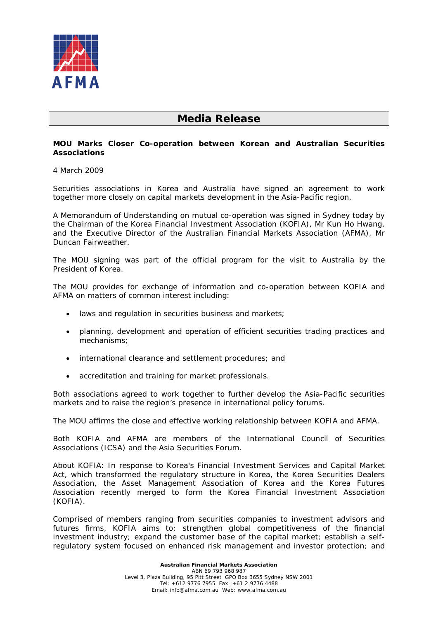

## **Media Release**

## **MOU Marks Closer Co-operation between Korean and Australian Securities Associations**

4 March 2009

Securities associations in Korea and Australia have signed an agreement to work together more closely on capital markets development in the Asia-Pacific region.

A Memorandum of Understanding on mutual co-operation was signed in Sydney today by the Chairman of the Korea Financial Investment Association (KOFIA), Mr Kun Ho Hwang, and the Executive Director of the Australian Financial Markets Association (AFMA), Mr Duncan Fairweather.

The MOU signing was part of the official program for the visit to Australia by the President of Korea.

The MOU provides for exchange of information and co-operation between KOFIA and AFMA on matters of common interest including:

- laws and regulation in securities business and markets;
- planning, development and operation of efficient securities trading practices and mechanisms;
- international clearance and settlement procedures; and
- accreditation and training for market professionals.

Both associations agreed to work together to further develop the Asia-Pacific securities markets and to raise the region's presence in international policy forums.

The MOU affirms the close and effective working relationship between KOFIA and AFMA.

Both KOFIA and AFMA are members of the International Council of Securities Associations (ICSA) and the Asia Securities Forum.

*About KOFIA:* In response to Korea's Financial Investment Services and Capital Market Act, which transformed the regulatory structure in Korea, the Korea Securities Dealers Association, the Asset Management Association of Korea and the Korea Futures Association recently merged to form the Korea Financial Investment Association (KOFIA).

Comprised of members ranging from securities companies to investment advisors and futures firms, KOFIA aims to; strengthen global competitiveness of the financial investment industry; expand the customer base of the capital market; establish a selfregulatory system focused on enhanced risk management and investor protection; and